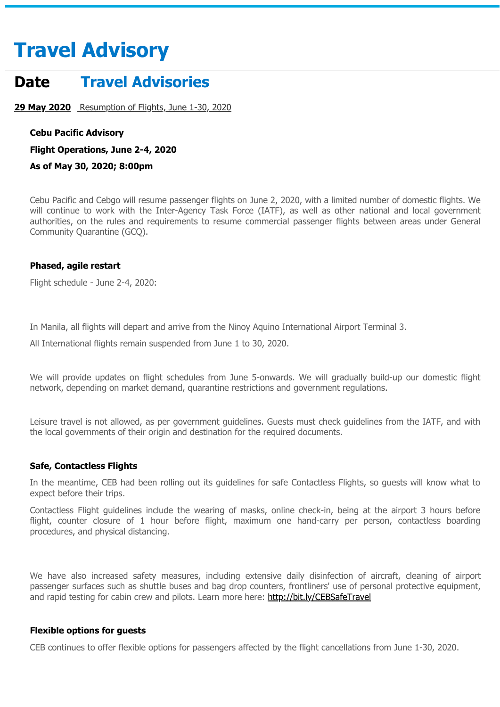# **Travel Advisory**

# **Date Travel Advisories**

**29 May 2020** [Resumption of Flights, June 1-30, 2020](https://www.cebupacificair.com/en-ae/pages/travel-advisories#)

**Cebu Pacific Advisory**

**Flight Operations, June 2-4, 2020**

**As of May 30, 2020; 8:00pm**

Cebu Pacific and Cebgo will resume passenger flights on June 2, 2020, with a limited number of domestic flights. We will continue to work with the Inter-Agency Task Force (IATF), as well as other national and local government authorities, on the rules and requirements to resume commercial passenger flights between areas under General Community Quarantine (GCQ).

#### **Phased, agile restart**

Flight schedule - June 2-4, 2020:

In Manila, all flights will depart and arrive from the Ninoy Aquino International Airport Terminal 3.

All International flights remain suspended from June 1 to 30, 2020.

We will provide updates on flight schedules from June 5-onwards. We will gradually build-up our domestic flight network, depending on market demand, quarantine restrictions and government regulations.

Leisure travel is not allowed, as per government guidelines. Guests must check guidelines from the IATF, and with the local governments of their origin and destination for the required documents.

## **Safe, Contactless Flights**

In the meantime, CEB had been rolling out its guidelines for safe Contactless Flights, so guests will know what to expect before their trips.

Contactless Flight guidelines include the wearing of masks, online check-in, being at the airport 3 hours before flight, counter closure of 1 hour before flight, maximum one hand-carry per person, contactless boarding procedures, and physical distancing.

We have also increased safety measures, including extensive daily disinfection of aircraft, cleaning of airport passenger surfaces such as shuttle buses and bag drop counters, frontliners' use of personal protective equipment, and rapid testing for cabin crew and pilots. Learn more here: <http://bit.ly/CEBSafeTravel>

## **Flexible options for guests**

CEB continues to offer flexible options for passengers affected by the flight cancellations from June 1-30, 2020.